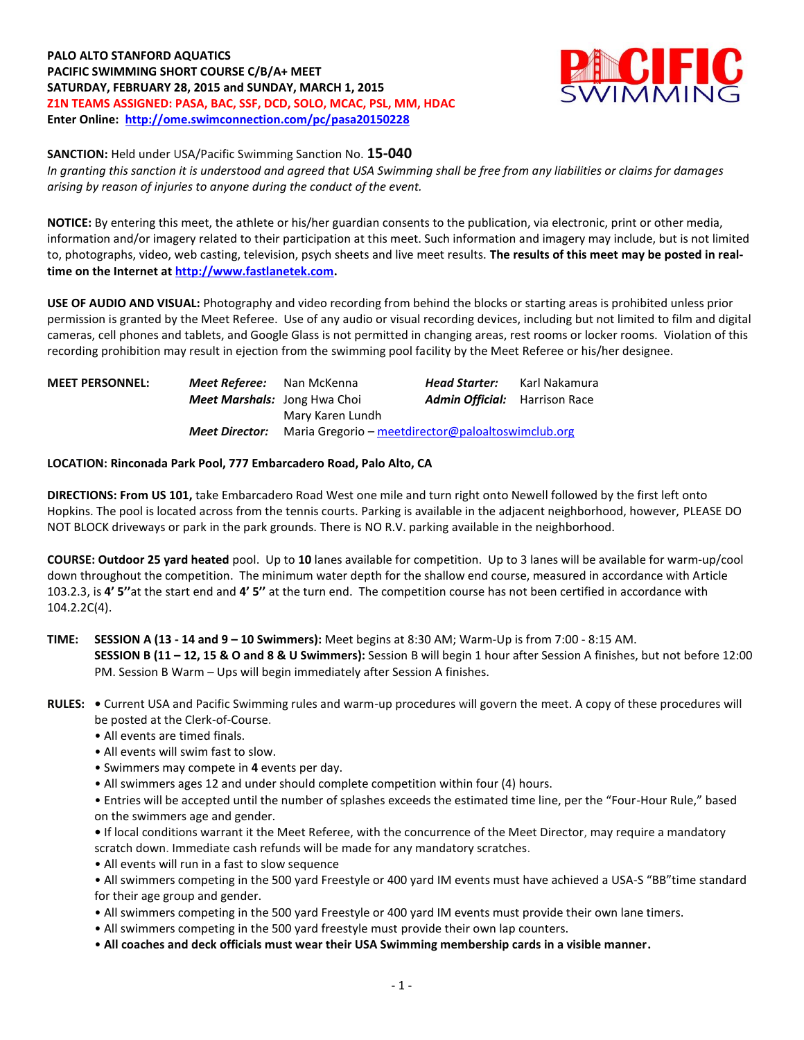**PALO ALTO STANFORD AQUATICS PACIFIC SWIMMING SHORT COURSE C/B/A+ MEET SATURDAY, FEBRUARY 28, 2015 and SUNDAY, MARCH 1, 2015 Z1N TEAMS ASSIGNED: PASA, BAC, SSF, DCD, SOLO, MCAC, PSL, MM, HDAC Enter Online: <http://ome.swimconnection.com/pc/pasa20150228>**



#### **SANCTION:** Held under USA/Pacific Swimming Sanction No. **15-040**

*In granting this sanction it is understood and agreed that USA Swimming shall be free from any liabilities or claims for damages arising by reason of injuries to anyone during the conduct of the event.*

**NOTICE:** By entering this meet, the athlete or his/her guardian consents to the publication, via electronic, print or other media, information and/or imagery related to their participation at this meet. Such information and imagery may include, but is not limited to, photographs, video, web casting, television, psych sheets and live meet results. **The results of this meet may be posted in realtime on the Internet a[t http://www.fastlanetek.com.](http://www.fastlanetek.com/)**

**USE OF AUDIO AND VISUAL:** Photography and video recording from behind the blocks or starting areas is prohibited unless prior permission is granted by the Meet Referee. Use of any audio or visual recording devices, including but not limited to film and digital cameras, cell phones and tablets, and Google Glass is not permitted in changing areas, rest rooms or locker rooms. Violation of this recording prohibition may result in ejection from the swimming pool facility by the Meet Referee or his/her designee.

| <b>MEET PERSONNEL:</b> | <b>Meet Referee:</b> Nan McKenna    |                                                                          | Head Starter:                        | Karl Nakamura |  |  |  |
|------------------------|-------------------------------------|--------------------------------------------------------------------------|--------------------------------------|---------------|--|--|--|
|                        | <b>Meet Marshals:</b> Jong Hwa Choi |                                                                          | <b>Admin Official:</b> Harrison Race |               |  |  |  |
|                        |                                     | Mary Karen Lundh                                                         |                                      |               |  |  |  |
|                        |                                     | <b>Meet Director:</b> Maria Gregorio – meetdirector@paloaltoswimclub.org |                                      |               |  |  |  |

### **LOCATION: Rinconada Park Pool, 777 Embarcadero Road, Palo Alto, CA**

**DIRECTIONS: From US 101,** take Embarcadero Road West one mile and turn right onto Newell followed by the first left onto Hopkins. The pool is located across from the tennis courts. Parking is available in the adjacent neighborhood, however, PLEASE DO NOT BLOCK driveways or park in the park grounds. There is NO R.V. parking available in the neighborhood.

**COURSE: Outdoor 25 yard heated** pool. Up to **10** lanes available for competition.Up to 3 lanes will be available for warm-up/cool down throughout the competition. The minimum water depth for the shallow end course, measured in accordance with Article 103.2.3, is **4' 5''**at the start end and **4' 5''** at the turn end. The competition course has not been certified in accordance with 104.2.2C(4).

## **TIME: SESSION A (13 - 14 and 9 – 10 Swimmers):** Meet begins at 8:30 AM; Warm-Up is from 7:00 - 8:15 AM. **SESSION B (11 – 12, 15 & O and 8 & U Swimmers):** Session B will begin 1 hour after Session A finishes, but not before 12:00 PM. Session B Warm – Ups will begin immediately after Session A finishes.

## **RULES: •** Current USA and Pacific Swimming rules and warm-up procedures will govern the meet. A copy of these procedures will be posted at the Clerk-of-Course.

- All events are timed finals.
- All events will swim fast to slow.
- Swimmers may compete in **4** events per day.
- All swimmers ages 12 and under should complete competition within four (4) hours.

• Entries will be accepted until the number of splashes exceeds the estimated time line, per the "Four-Hour Rule," based on the swimmers age and gender.

**•** If local conditions warrant it the Meet Referee, with the concurrence of the Meet Director, may require a mandatory scratch down. Immediate cash refunds will be made for any mandatory scratches.

• All events will run in a fast to slow sequence

• All swimmers competing in the 500 yard Freestyle or 400 yard IM events must have achieved a USA-S "BB"time standard for their age group and gender.

- All swimmers competing in the 500 yard Freestyle or 400 yard IM events must provide their own lane timers.
- All swimmers competing in the 500 yard freestyle must provide their own lap counters.
- **All coaches and deck officials must wear their USA Swimming membership cards in a visible manner.**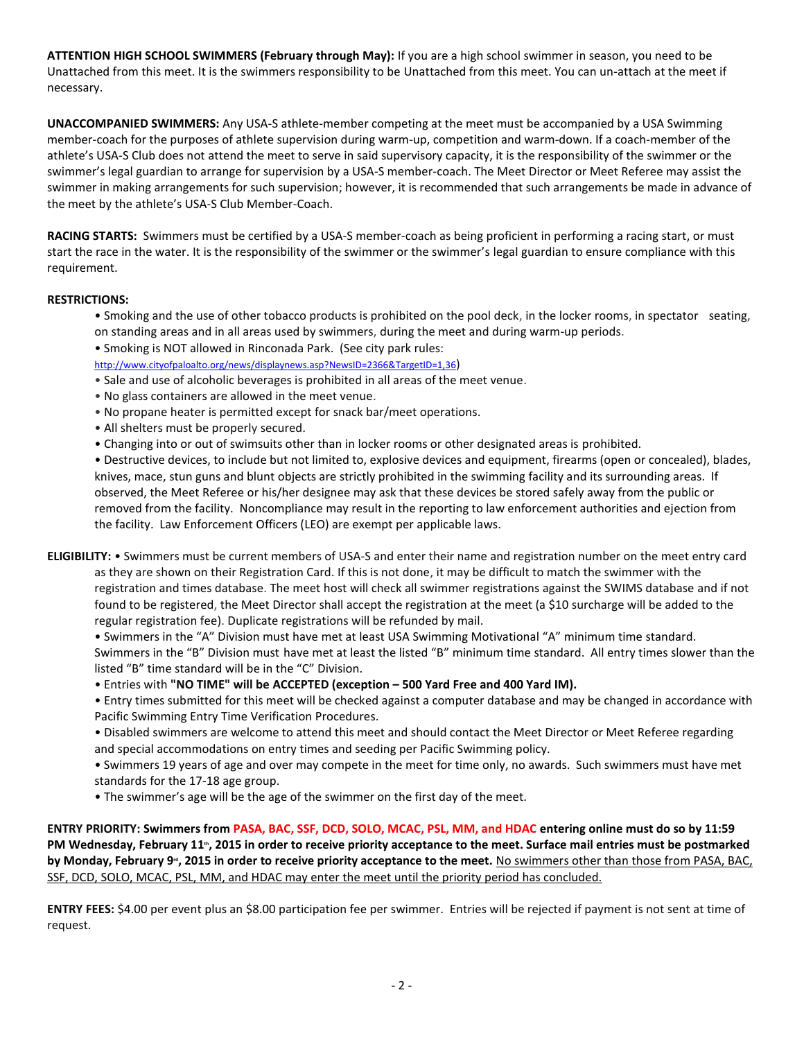**ATTENTION HIGH SCHOOL SWIMMERS (February through May):** If you are a high school swimmer in season, you need to be Unattached from this meet. It is the swimmers responsibility to be Unattached from this meet. You can un-attach at the meet if necessary.

**UNACCOMPANIED SWIMMERS:** Any USA-S athlete-member competing at the meet must be accompanied by a USA Swimming member-coach for the purposes of athlete supervision during warm-up, competition and warm-down. If a coach-member of the athlete's USA-S Club does not attend the meet to serve in said supervisory capacity, it is the responsibility of the swimmer or the swimmer's legal guardian to arrange for supervision by a USA-S member-coach. The Meet Director or Meet Referee may assist the swimmer in making arrangements for such supervision; however, it is recommended that such arrangements be made in advance of the meet by the athlete's USA-S Club Member-Coach.

**RACING STARTS:** Swimmers must be certified by a USA-S member-coach as being proficient in performing a racing start, or must start the race in the water. It is the responsibility of the swimmer or the swimmer's legal guardian to ensure compliance with this requirement.

## **RESTRICTIONS:**

- Smoking and the use of other tobacco products is prohibited on the pool deck, in the locker rooms, in spectator seating, on standing areas and in all areas used by swimmers, during the meet and during warm-up periods.
- Smoking is NOT allowed in Rinconada Park. (See city park rules:

<http://www.cityofpaloalto.org/news/displaynews.asp?NewsID=2366&TargetID=1,36>)

- Sale and use of alcoholic beverages is prohibited in all areas of the meet venue.
- No glass containers are allowed in the meet venue.
- No propane heater is permitted except for snack bar/meet operations.
- All shelters must be properly secured.
- Changing into or out of swimsuits other than in locker rooms or other designated areas is prohibited.

• Destructive devices, to include but not limited to, explosive devices and equipment, firearms (open or concealed), blades, knives, mace, stun guns and blunt objects are strictly prohibited in the swimming facility and its surrounding areas. If observed, the Meet Referee or his/her designee may ask that these devices be stored safely away from the public or removed from the facility. Noncompliance may result in the reporting to law enforcement authorities and ejection from the facility. Law Enforcement Officers (LEO) are exempt per applicable laws.

- **ELIGIBILITY:** Swimmers must be current members of USA-S and enter their name and registration number on the meet entry card as they are shown on their Registration Card. If this is not done, it may be difficult to match the swimmer with the registration and times database. The meet host will check all swimmer registrations against the SWIMS database and if not found to be registered, the Meet Director shall accept the registration at the meet (a \$10 surcharge will be added to the regular registration fee). Duplicate registrations will be refunded by mail.
	- Swimmers in the "A" Division must have met at least USA Swimming Motivational "A" minimum time standard.

Swimmers in the "B" Division must have met at least the listed "B" minimum time standard. All entry times slower than the listed "B" time standard will be in the "C" Division.

- Entries with **"NO TIME" will be ACCEPTED (exception – 500 Yard Free and 400 Yard IM).**
- Entry times submitted for this meet will be checked against a computer database and may be changed in accordance with Pacific Swimming Entry Time Verification Procedures.

• Disabled swimmers are welcome to attend this meet and should contact the Meet Director or Meet Referee regarding and special accommodations on entry times and seeding per Pacific Swimming policy.

• Swimmers 19 years of age and over may compete in the meet for time only, no awards. Such swimmers must have met standards for the 17-18 age group.

• The swimmer's age will be the age of the swimmer on the first day of the meet.

**ENTRY PRIORITY: Swimmers from PASA, BAC, SSF, DCD, SOLO, MCAC, PSL, MM, and HDAC entering online must do so by 11:59**  PM Wednesday, February 11<sup>®</sup>, 2015 in order to receive priority acceptance to the meet. Surface mail entries must be postmarked by Monday, February 9<sup>.</sup>, 2015 in order to receive priority acceptance to the meet. No swimmers other than those from PASA, BAC, SSF, DCD, SOLO, MCAC, PSL, MM, and HDAC may enter the meet until the priority period has concluded.

**ENTRY FEES:** \$4.00 per event plus an \$8.00 participation fee per swimmer. Entries will be rejected if payment is not sent at time of request.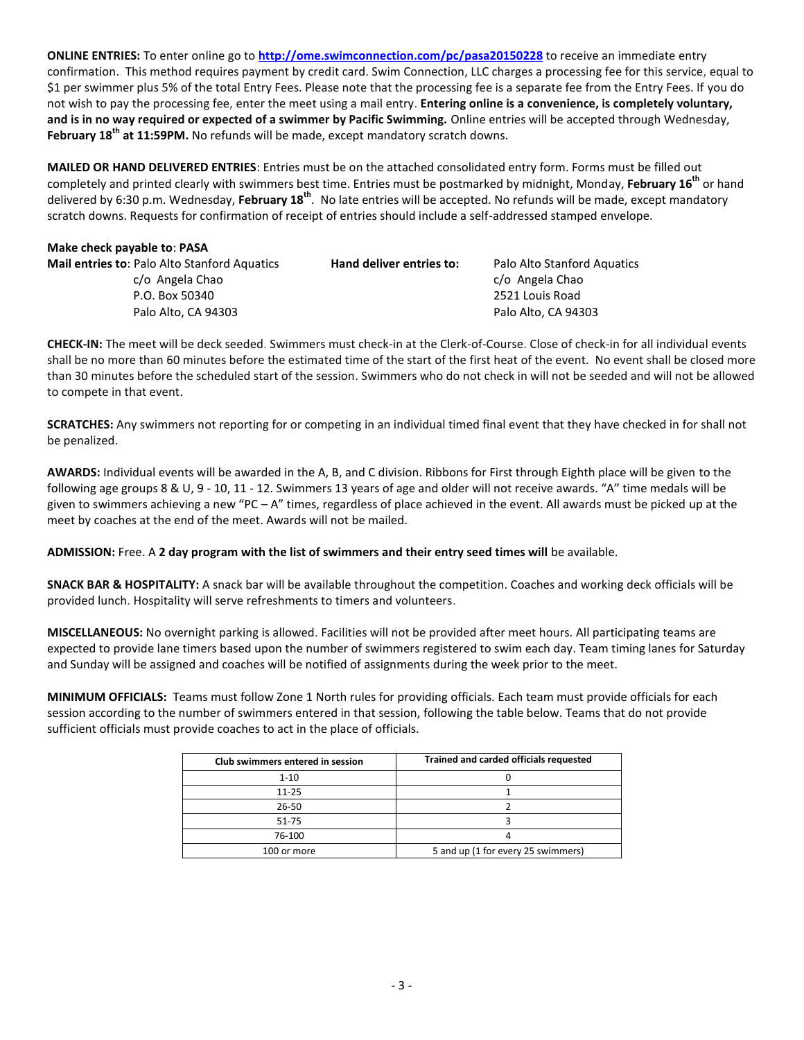**ONLINE ENTRIES:** To enter online go to **<http://ome.swimconnection.com/pc/pasa20150228>** to receive an immediate entry confirmation. This method requires payment by credit card. Swim Connection, LLC charges a processing fee for this service, equal to \$1 per swimmer plus 5% of the total Entry Fees. Please note that the processing fee is a separate fee from the Entry Fees. If you do not wish to pay the processing fee, enter the meet using a mail entry. **Entering online is a convenience, is completely voluntary, and is in no way required or expected of a swimmer by Pacific Swimming.** Online entries will be accepted through Wednesday, **February 18th at 11:59PM.** No refunds will be made, except mandatory scratch downs.

**MAILED OR HAND DELIVERED ENTRIES**: Entries must be on the attached consolidated entry form. Forms must be filled out completely and printed clearly with swimmers best time. Entries must be postmarked by midnight, Monday, **February 16th** or hand delivered by 6:30 p.m. Wednesday, **February 18th** . No late entries will be accepted. No refunds will be made, except mandatory scratch downs. Requests for confirmation of receipt of entries should include a self-addressed stamped envelope.

### **Make check payable to**: **PASA**

| <b>Mail entries to: Palo Alto Stanford Aquatics</b> | Hand deliver entries to: | Palo Alto Stanford Aquatics |
|-----------------------------------------------------|--------------------------|-----------------------------|
| c/o Angela Chao                                     |                          | c/o Angela Chao             |
| P.O. Box 50340                                      |                          | 2521 Louis Road             |
| Palo Alto, CA 94303                                 |                          | Palo Alto, CA 94303         |
|                                                     |                          |                             |

**CHECK-IN:** The meet will be deck seeded. Swimmers must check-in at the Clerk-of-Course. Close of check-in for all individual events shall be no more than 60 minutes before the estimated time of the start of the first heat of the event. No event shall be closed more than 30 minutes before the scheduled start of the session. Swimmers who do not check in will not be seeded and will not be allowed to compete in that event.

**SCRATCHES:** Any swimmers not reporting for or competing in an individual timed final event that they have checked in for shall not be penalized.

**AWARDS:** Individual events will be awarded in the A, B, and C division. Ribbons for First through Eighth place will be given to the following age groups 8 & U, 9 ‐ 10, 11 - 12. Swimmers 13 years of age and older will not receive awards. "A" time medals will be given to swimmers achieving a new "PC  $-A$ " times, regardless of place achieved in the event. All awards must be picked up at the meet by coaches at the end of the meet. Awards will not be mailed.

**ADMISSION:** Free. A **2 day program with the list of swimmers and their entry seed times will** be available.

**SNACK BAR & HOSPITALITY:** A snack bar will be available throughout the competition. Coaches and working deck officials will be provided lunch. Hospitality will serve refreshments to timers and volunteers.

**MISCELLANEOUS:** No overnight parking is allowed. Facilities will not be provided after meet hours. All participating teams are expected to provide lane timers based upon the number of swimmers registered to swim each day. Team timing lanes for Saturday and Sunday will be assigned and coaches will be notified of assignments during the week prior to the meet.

**MINIMUM OFFICIALS:** Teams must follow Zone 1 North rules for providing officials. Each team must provide officials for each session according to the number of swimmers entered in that session, following the table below. Teams that do not provide sufficient officials must provide coaches to act in the place of officials.

| Club swimmers entered in session | Trained and carded officials requested |  |  |  |  |  |
|----------------------------------|----------------------------------------|--|--|--|--|--|
| $1 - 10$                         |                                        |  |  |  |  |  |
| $11 - 25$                        |                                        |  |  |  |  |  |
| 26-50                            |                                        |  |  |  |  |  |
| 51-75                            |                                        |  |  |  |  |  |
| 76-100                           |                                        |  |  |  |  |  |
| 100 or more                      | 5 and up (1 for every 25 swimmers)     |  |  |  |  |  |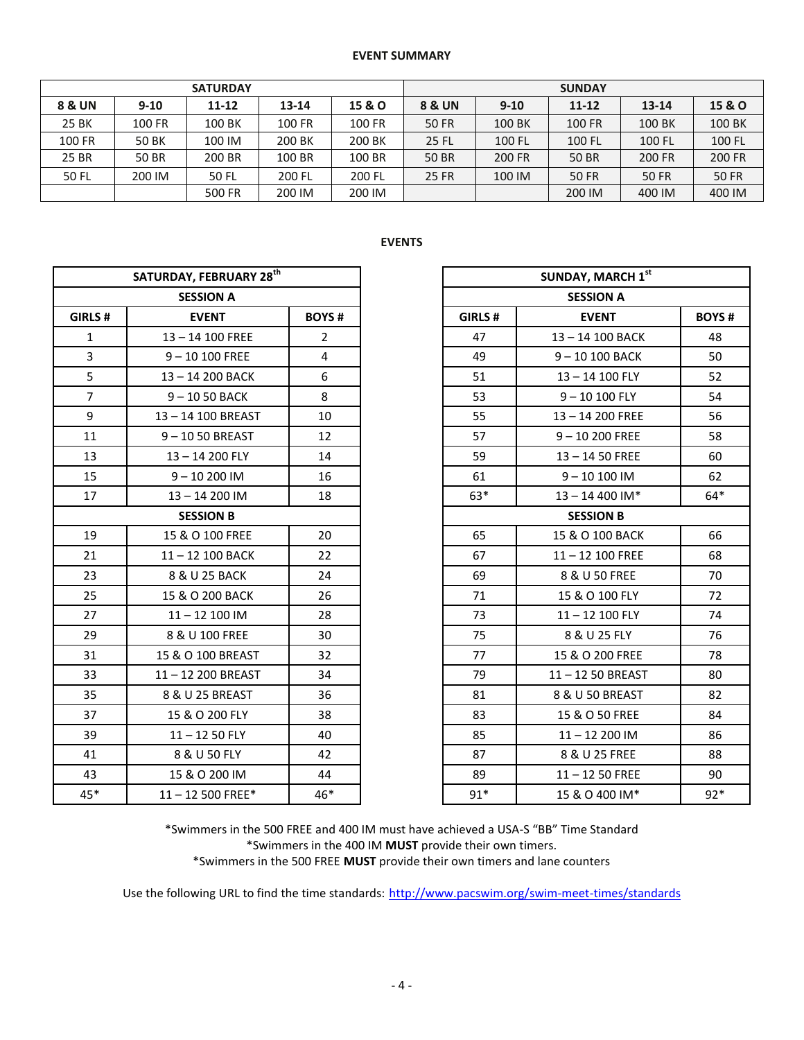### **EVENT SUMMARY**

| <b>SATURDAY</b> |        |           |           |        | <b>SUNDAY</b> |          |               |              |               |  |
|-----------------|--------|-----------|-----------|--------|---------------|----------|---------------|--------------|---------------|--|
| 8 & UN          | $9-10$ | $11 - 12$ | $13 - 14$ | 15 & O | 8 & UN        | $9 - 10$ | $11 - 12$     | $13 - 14$    | 15 & O        |  |
| 25 BK           | 100 FR | 100 BK    | 100 FR    | 100 FR | <b>50 FR</b>  | 100 BK   | <b>100 FR</b> | 100 BK       | 100 BK        |  |
| 100 FR          | 50 BK  | 100 IM    | 200 BK    | 200 BK | <b>25 FL</b>  | 100 FL   | 100 FL        | 100 FL       | 100 FL        |  |
| 25 BR           | 50 BR  | 200 BR    | 100 BR    | 100 BR | <b>50 BR</b>  | 200 FR   | <b>50 BR</b>  | 200 FR       | <b>200 FR</b> |  |
| 50 FL           | 200 IM | 50 FL     | 200 FL    | 200 FL | <b>25 FR</b>  | 100 IM   | <b>50 FR</b>  | <b>50 FR</b> | <b>50 FR</b>  |  |
|                 |        | 500 FR    | 200 IM    | 200 IM |               |          | 200 IM        | 400 IM       | 400 IM        |  |

# **EVENTS**

|                | SATURDAY, FEBRUARY 28 <sup>th</sup> |                |  |
|----------------|-------------------------------------|----------------|--|
|                | <b>SESSION A</b>                    |                |  |
| <b>RLS#</b>    | <b>EVENT</b>                        | <b>BOYS#</b>   |  |
| 1              | 13-14 100 FREE                      | $\overline{2}$ |  |
| $\overline{3}$ | $9 - 10100$ FREE                    | 4              |  |
| 5              | 13-14 200 BACK                      | 6              |  |
| $\overline{7}$ | $9 - 1050$ BACK                     | 8              |  |
| 9              | 13-14 100 BREAST                    | 10             |  |
| 11             | 9-1050 BREAST                       | 12             |  |
| 13             | 13-14 200 FLY                       | 14             |  |
| 15             | $9 - 10200$ IM                      | 16             |  |
| 17             | $13 - 14200$ IM                     | 18             |  |
|                | <b>SESSION B</b>                    |                |  |
| 19             | 15 & O 100 FREE                     | 20             |  |
| 21             | 11-12 100 BACK                      | 22             |  |
| 23             | 8 & U 25 BACK                       | 24             |  |
| 25             | 15 & O 200 BACK                     | 26             |  |
| 27             | $11 - 12$ 100 IM                    | 28             |  |
| 29             | 8 & U 100 FREE                      | 30             |  |
| 31             | 15 & O 100 BREAST                   | 32             |  |
| 33             | 11-12 200 BREAST                    | 34             |  |
| 35             | 8 & U 25 BREAST                     | 36             |  |
| 37             | 15 & O 200 FLY                      | 38             |  |
| 39             | $11 - 1250$ FLY                     | 40             |  |
| 41             | 8 & U 50 FLY                        | 42             |  |
| 43             | 15 & O 200 IM                       | 44             |  |
| 45*            | $11 - 12500$ FREE*                  | 46*            |  |

\*Swimmers in the 500 FREE and 400 IM must have achieved a USA-S "BB" Time Standard \*Swimmers in the 400 IM **MUST** provide their own timers. \*Swimmers in the 500 FREE **MUST** provide their own timers and lane counters

Use the following URL to find the time standards: <http://www.pacswim.org/swim-meet-times/standards>